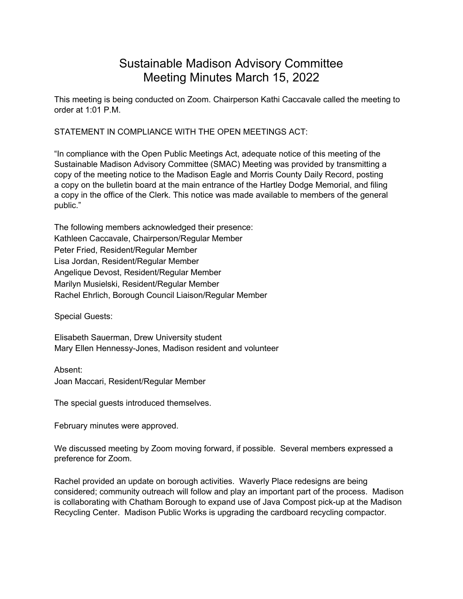# Sustainable Madison Advisory Committee Meeting Minutes March 15, 2022

This meeting is being conducted on Zoom. Chairperson Kathi Caccavale called the meeting to order at 1:01 P.M.

STATEMENT IN COMPLIANCE WITH THE OPEN MEETINGS ACT:

"In compliance with the Open Public Meetings Act, adequate notice of this meeting of the Sustainable Madison Advisory Committee (SMAC) Meeting was provided by transmitting a copy of the meeting notice to the Madison Eagle and Morris County Daily Record, posting a copy on the bulletin board at the main entrance of the Hartley Dodge Memorial, and filing a copy in the office of the Clerk. This notice was made available to members of the general public."

The following members acknowledged their presence: Kathleen Caccavale, Chairperson/Regular Member Peter Fried, Resident/Regular Member Lisa Jordan, Resident/Regular Member Angelique Devost, Resident/Regular Member Marilyn Musielski, Resident/Regular Member Rachel Ehrlich, Borough Council Liaison/Regular Member

Special Guests:

Elisabeth Sauerman, Drew University student Mary Ellen Hennessy-Jones, Madison resident and volunteer

Absent: Joan Maccari, Resident/Regular Member

The special guests introduced themselves.

February minutes were approved.

We discussed meeting by Zoom moving forward, if possible. Several members expressed a preference for Zoom.

Rachel provided an update on borough activities. Waverly Place redesigns are being considered; community outreach will follow and play an important part of the process. Madison is collaborating with Chatham Borough to expand use of Java Compost pick-up at the Madison Recycling Center. Madison Public Works is upgrading the cardboard recycling compactor.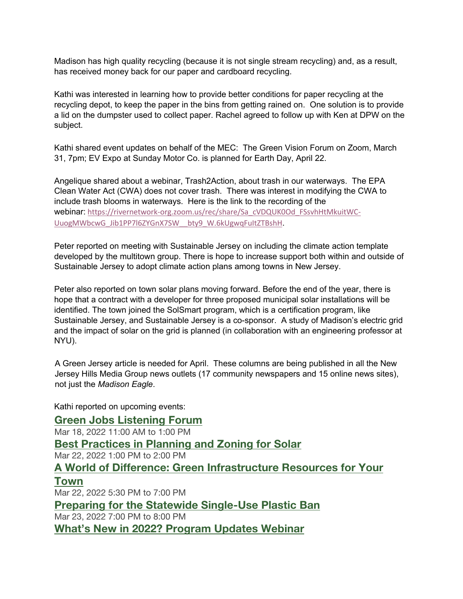Madison has high quality recycling (because it is not single stream recycling) and, as a result, has received money back for our paper and cardboard recycling.

Kathi was interested in learning how to provide better conditions for paper recycling at the recycling depot, to keep the paper in the bins from getting rained on. One solution is to provide a lid on the dumpster used to collect paper. Rachel agreed to follow up with Ken at DPW on the subject.

Kathi shared event updates on behalf of the MEC: The Green Vision Forum on Zoom, March 31, 7pm; EV Expo at Sunday Motor Co. is planned for Earth Day, April 22.

Angelique shared about a webinar, Trash2Action, about trash in our waterways. The EPA Clean Water Act (CWA) does not cover trash. There was interest in modifying the CWA to include trash blooms in waterways. Here is the link to the recording of the webinar: https://rivernetwork-org.zoom.us/rec/share/Sa\_cVDQUK0Od\_FSsvhHtMkuitWC-UuogMWbcwG\_Jib1PP7l6ZYGnX7SW\_\_bty9\_W.6kUgwqFuItZTBshH.

Peter reported on meeting with Sustainable Jersey on including the climate action template developed by the multitown group. There is hope to increase support both within and outside of Sustainable Jersey to adopt climate action plans among towns in New Jersey.

Peter also reported on town solar plans moving forward. Before the end of the year, there is hope that a contract with a developer for three proposed municipal solar installations will be identified. The town joined the SolSmart program, which is a certification program, like Sustainable Jersey, and Sustainable Jersey is a co-sponsor. A study of Madison's electric grid and the impact of solar on the grid is planned (in collaboration with an engineering professor at NYU).

A Green Jersey article is needed for April. These columns are being published in all the New Jersey Hills Media Group news outlets (17 community newspapers and 15 online news sites), not just the *Madison Eagle*.

Kathi reported on upcoming events:

#### **Green Jobs Listening Forum**

Mar 18, 2022 11:00 AM to 1:00 PM **Best Practices in Planning and Zoning for Solar** Mar 22, 2022 1:00 PM to 2:00 PM **A World of Difference: Green Infrastructure Resources for Your Town** Mar 22, 2022 5:30 PM to 7:00 PM **Preparing for the Statewide Single-Use Plastic Ban** Mar 23, 2022 7:00 PM to 8:00 PM

**What's New in 2022? Program Updates Webinar**